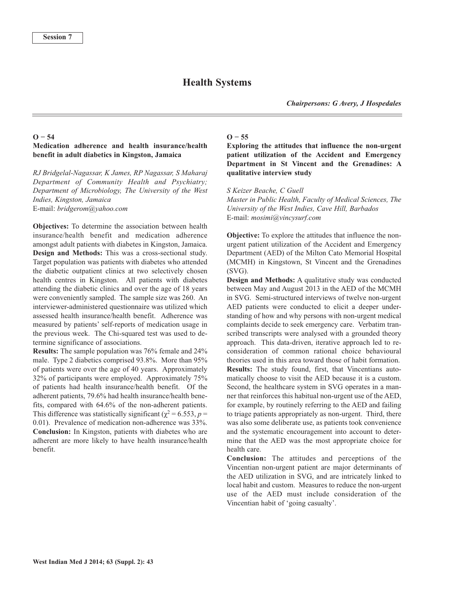# **Health Systems**

### **O − 54**

#### **Medication adherence and health insurance/health benefit in adult diabetics in Kingston, Jamaica**

*RJ Bridgelal-Nagassar, K James, RP Nagassar, S Maharaj Department of Community Health and Psychiatry; Department of Microbiology, The University of the West Indies, Kingston, Jamaica* E-mail: *bridgerom@yahoo.com*

**Objectives:** To determine the association between health insurance/health benefit and medication adherence amongst adult patients with diabetes in Kingston, Jamaica. **Design and Methods:** This was a cross-sectional study. Target population was patients with diabetes who attended the diabetic outpatient clinics at two selectively chosen health centres in Kingston. All patients with diabetes attending the diabetic clinics and over the age of 18 years were conveniently sampled. The sample size was 260. An interviewer-administered questionnaire was utilized which assessed health insurance/health benefit. Adherence was measured by patients' self-reports of medication usage in the previous week. The Chi-squared test was used to determine significance of associations.

**Results:** The sample population was 76% female and 24% male. Type 2 diabetics comprised 93.8%. More than 95% of patients were over the age of 40 years. Approximately 32% of participants were employed. Approximately 75% of patients had health insurance/health benefit. Of the adherent patients, 79.6% had health insurance/health benefits, compared with 64.6% of the non-adherent patients. This difference was statistically significant ( $\chi^2$  = 6.553, *p* = 0.01). Prevalence of medication non-adherence was 33%. **Conclusion:** In Kingston, patients with diabetes who are adherent are more likely to have health insurance/health benefit.

#### $O - 55$

**Exploring the attitudes that influence the non-urgent patient utilization of the Accident and Emergency Department in St Vincent and the Grenadines: A qualitative interview study**

#### *S Keizer Beache, C Guell*

*Master in Public Health, Faculty of Medical Sciences, The University of the West Indies, Cave Hill, Barbados* E-mail: *mosimi@vincysurf.com*

**Objective:** To explore the attitudes that influence the nonurgent patient utilization of the Accident and Emergency Department (AED) of the Milton Cato Memorial Hospital (MCMH) in Kingstown, St Vincent and the Grenadines (SVG).

**Design and Methods:** A qualitative study was conducted between May and August 2013 in the AED of the MCMH in SVG. Semi-structured interviews of twelve non-urgent AED patients were conducted to elicit a deeper understanding of how and why persons with non-urgent medical complaints decide to seek emergency care. Verbatim transcribed transcripts were analysed with a grounded theory approach. This data-driven, iterative approach led to reconsideration of common rational choice behavioural theories used in this area toward those of habit formation. **Results:** The study found, first, that Vincentians automatically choose to visit the AED because it is a custom. Second, the healthcare system in SVG operates in a manner that reinforces this habitual non-urgent use of the AED, for example, by routinely referring to the AED and failing to triage patients appropriately as non-urgent. Third, there was also some deliberate use, as patients took convenience and the systematic encouragement into account to determine that the AED was the most appropriate choice for health care.

**Conclusion:** The attitudes and perceptions of the Vincentian non-urgent patient are major determinants of the AED utilization in SVG, and are intricately linked to local habit and custom. Measures to reduce the non-urgent use of the AED must include consideration of the Vincentian habit of 'going casualty'.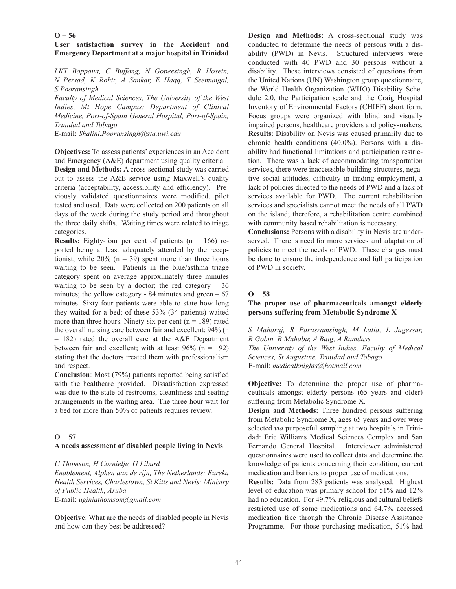### $O - 56$

# **User satisfaction survey in the Accident and Emergency Department at a major hospital in Trinidad**

*LKT Boppana, C Buffong, N Gopeesingh, R Hosein, N Persad, K Rohit, A Sankar, E Haqq, T Seemungal, S Pooransingh*

*Faculty of Medical Sciences, The University of the West Indies, Mt Hope Campus; Department of Clinical Medicine, Port-of-Spain General Hospital, Port-of-Spain, Trinidad and Tobago*

E-mail: *Shalini.Pooransingh@sta.uwi.edu*

**Objectives:** To assess patients' experiences in an Accident and Emergency (A&E) department using quality criteria.

**Design and Methods:** A cross-sectional study was carried out to assess the A&E service using Maxwell's quality criteria (acceptability, accessibility and efficiency). Previously validated questionnaires were modified, pilot tested and used. Data were collected on 200 patients on all days of the week during the study period and throughout the three daily shifts. Waiting times were related to triage categories.

**Results:** Eighty-four per cent of patients  $(n = 166)$  reported being at least adequately attended by the receptionist, while  $20\%$  (n = 39) spent more than three hours waiting to be seen. Patients in the blue/asthma triage category spent on average approximately three minutes waiting to be seen by a doctor; the red category  $-36$ minutes; the yellow category - 84 minutes and green  $-67$ minutes. Sixty-four patients were able to state how long they waited for a bed; of these 53% (34 patients) waited more than three hours. Ninety-six per cent ( $n = 189$ ) rated the overall nursing care between fair and excellent; 94% (n  $= 182$ ) rated the overall care at the A&E Department between fair and excellent; with at least  $96\%$  (n = 192) stating that the doctors treated them with professionalism and respect.

**Conclusion**: Most (79%) patients reported being satisfied with the healthcare provided. Dissatisfaction expressed was due to the state of restrooms, cleanliness and seating arrangements in the waiting area. The three-hour wait for a bed for more than 50% of patients requires review.

### $O - 57$

### **A needs assessment of disabled people living in Nevis**

*U Thomson, H Cornielje, G Liburd*

*Enablement, Alphen aan de rijn, The Netherlands; Eureka Health Services, Charlestown, St Kitts and Nevis; Ministry of Public Health, Aruba* E-mail: *uginiathomson@gmail.com*

**Objective**: What are the needs of disabled people in Nevis and how can they best be addressed?

**Design and Methods:** A cross-sectional study was conducted to determine the needs of persons with a disability (PWD) in Nevis. Structured interviews were conducted with 40 PWD and 30 persons without a disability. These interviews consisted of questions from the United Nations (UN) Washington group questionnaire, the World Health Organization (WHO) Disability Schedule 2.0, the Participation scale and the Craig Hospital Inventory of Environmental Factors (CHIEF) short form. Focus groups were organized with blind and visually impaired persons, healthcare providers and policy-makers. **Results**: Disability on Nevis was caused primarily due to chronic health conditions (40.0%). Persons with a disability had functional limitations and participation restriction. There was a lack of accommodating transportation services, there were inaccessible building structures, negative social attitudes, difficulty in finding employment, a lack of policies directed to the needs of PWD and a lack of services available for PWD. The current rehabilitation services and specialists cannot meet the needs of all PWD on the island; therefore, a rehabilitation centre combined with community based rehabilitation is necessary.

**Conclusions:** Persons with a disability in Nevis are underserved. There is need for more services and adaptation of policies to meet the needs of PWD. These changes must be done to ensure the independence and full participation of PWD in society.

### $O - 58$

### **The proper use of pharmaceuticals amongst elderly persons suffering from Metabolic Syndrome X**

*S Maharaj, R Parasramsingh, M Lalla, L Jagessar, R Gobin, R Mahabir, A Baig, A Ramdass The University of the West Indies, Faculty of Medical Sciences, St Augustine, Trinidad and Tobago* E-mail: *medicalknights@hotmail.com*

**Objective:** To determine the proper use of pharmaceuticals amongst elderly persons (65 years and older) suffering from Metabolic Syndrome X.

**Design and Methods:** Three hundred persons suffering from Metabolic Syndrome X, ages 65 years and over were selected *via* purposeful sampling at two hospitals in Trinidad: Eric Williams Medical Sciences Complex and San Fernando General Hospital. Interviewer administered questionnaires were used to collect data and determine the knowledge of patients concerning their condition, current medication and barriers to proper use of medications.

**Results:** Data from 283 patients was analysed. Highest level of education was primary school for 51% and 12% had no education. For 49.7%, religious and cultural beliefs restricted use of some medications and 64.7% accessed medication free through the Chronic Disease Assistance Programme. For those purchasing medication, 51% had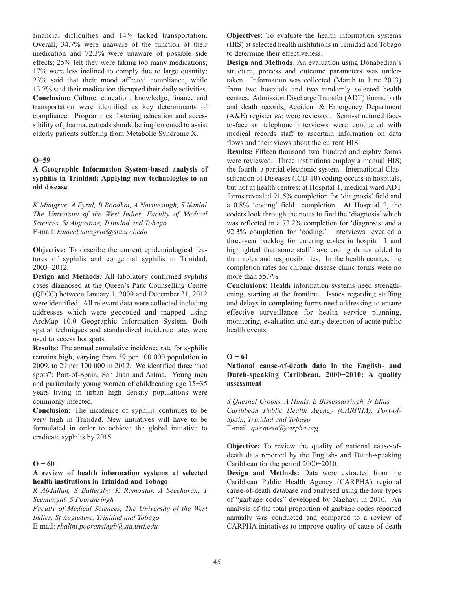financial difficulties and 14% lacked transportation. Overall, 34.7% were unaware of the function of their medication and 72.3% were unaware of possible side effects; 25% felt they were taking too many medications; 17% were less inclined to comply due to large quantity; 23% said that their mood affected compliance, while 13.7% said their medication disrupted their daily activities. **Conclusion:** Culture, education, knowledge, finance and transportation were identified as key determinants of compliance. Programmes fostering education and accessibility of pharmaceuticals should be implemented to assist elderly patients suffering from Metabolic Syndrome X.

#### **O−59**

# **A Geographic Information System-based analysis of syphilis in Trinidad: Applying new technologies to an old disease**

*K Mungrue, A Fyzul, B Boodhai, A Narinesingh, S Nanlal The University of the West Indies, Faculty of Medical Sciences, St Augustine, Trinidad and Tobago* E-mail: *kameel.mungrue@sta.uwi.edu*

**Objective:** To describe the current epidemiological features of syphilis and congenital syphilis in Trinidad, 2003−2012.

**Design and Methods***:* All laboratory confirmed syphilis cases diagnosed at the Queen's Park Counselling Centre (QPCC) between January 1, 2009 and December 31, 2012 were identified. All relevant data were collected including addresses which were geocoded and mapped using ArcMap 10.0 Geographic Information System. Both spatial techniques and standardized incidence rates were used to access hot spots.

**Results:** The annual cumulative incidence rate for syphilis remains high, varying from 39 per 100 000 population in 2009, to 29 per 100 000 in 2012. We identified three "hot spots": Port-of-Spain, San Juan and Arima. Young men and particularly young women of childbearing age 15−35 years living in urban high density populations were commonly infected.

**Conclusion:** The incidence of syphilis continues to be very high in Trinidad. New initiatives will have to be formulated in order to achieve the global initiative to eradicate syphilis by 2015.

### **O − 60**

### **A review of health information systems at selected health institutions in Trinidad and Tobago**

*R Abdullah, S Battersby, K Ramoutar, A Seecharan, T Seemungal, S Pooransingh*

*Faculty of Medical Sciences, The University of the West Indies, St Augustine, Trinidad and Tobago* E-mail: *shalini.pooransingh@sta.uwi.edu*

**Objectives:** To evaluate the health information systems (HIS) at selected health institutions in Trinidad and Tobago to determine their effectiveness.

**Design and Methods:** An evaluation using Donabedian's structure, process and outcome parameters was undertaken. Information was collected (March to June 2013) from two hospitals and two randomly selected health centres. Admission Discharge Transfer (ADT) forms, birth and death records, Accident & Emergency Department (A&E) register *etc* were reviewed. Semi-structured faceto-face or telephone interviews were conducted with medical records staff to ascertain information on data flows and their views about the current HIS.

**Results:** Fifteen thousand two hundred and eighty forms were reviewed. Three institutions employ a manual HIS; the fourth, a partial electronic system. International Classification of Diseases (ICD-10) coding occurs in hospitals, but not at health centres; at Hospital 1, medical ward ADT forms revealed 91.5% completion for 'diagnosis' field and a 0.8% 'coding' field completion. At Hospital 2, the coders look through the notes to find the 'diagnosis' which was reflected in a 73.2% completion for 'diagnosis' and a 92.3% completion for 'coding.' Interviews revealed a three-year backlog for entering codes in hospital 1 and highlighted that some staff have coding duties added to their roles and responsibilities. In the health centres, the completion rates for chronic disease clinic forms were no more than 55.7%.

**Conclusions:** Health information systems need strengthening, starting at the frontline. Issues regarding staffing and delays in completing forms need addressing to ensure effective surveillance for health service planning, monitoring, evaluation and early detection of acute public health events.

### $O - 61$

# **National cause-of-death data in the English- and Dutch-speaking Caribbean, 2000−2010: A quality assessment**

*S Quesnel-Crooks, A Hinds, E Bissessarsingh, N Elias Caribbean Public Health Agency (CARPHA), Port-of-Spain, Trinidad and Tobago* E-mail: *quesnesa@carpha.org*

**Objective:** To review the quality of national cause-ofdeath data reported by the English- and Dutch-speaking Caribbean for the period 2000−2010.

**Design and Methods:** Data were extracted from the Caribbean Public Health Agency (CARPHA) regional cause-of-death database and analysed using the four types of "garbage codes" developed by Naghavi in 2010. An analysis of the total proportion of garbage codes reported annually was conducted and compared to a review of CARPHA initiatives to improve quality of cause-of-death